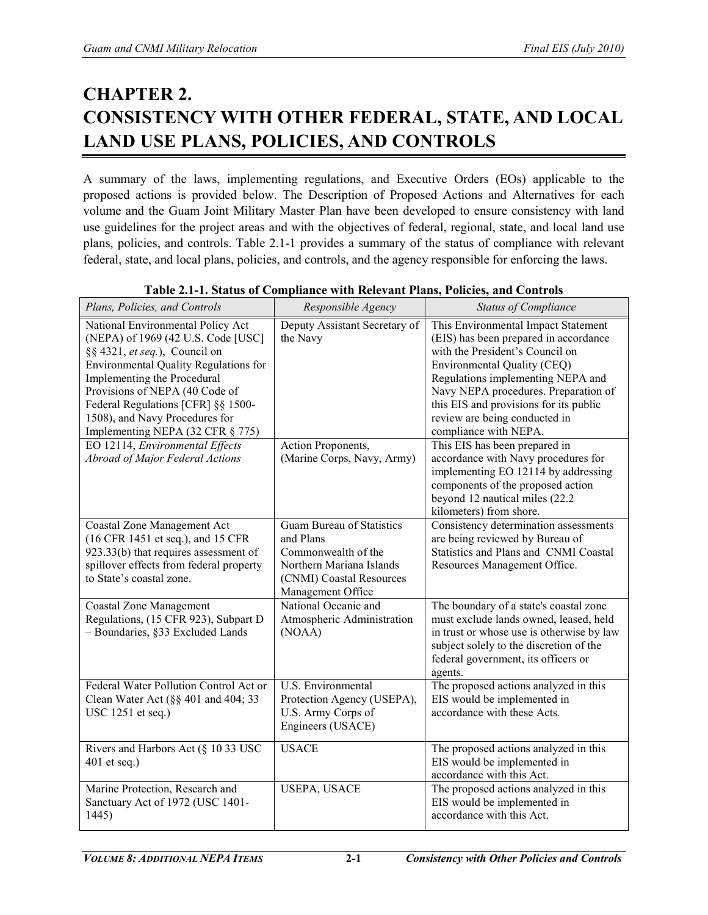# **CHAPTER 2. CONSISTENCY WITH OTHER FEDERAL, STATE, AND LOCAL LAND USE PLANS, POLICIES, AND CONTROLS**

A summary of the laws, implementing regulations, and Executive Orders (EOs) applicable to the proposed actions is provided below. The Description of Proposed Actions and Alternatives for each volume and the Guam Joint Military Master Plan have been developed to ensure consistency with land use guidelines for the project areas and with the objectives of federal, regional, state, and local land use plans, policies, and controls. Table 2.1-1 provides a summary of the status of compliance with relevant federal, state, and local plans, policies, and controls, and the agency responsible for enforcing the laws.

| Plans, Policies, and Controls                                                                                                                                                                                                                                                                                                         | Responsible Agency                                                                                                                                | <b>Status of Compliance</b>                                                                                                                                                                                                                                                                                                     |
|---------------------------------------------------------------------------------------------------------------------------------------------------------------------------------------------------------------------------------------------------------------------------------------------------------------------------------------|---------------------------------------------------------------------------------------------------------------------------------------------------|---------------------------------------------------------------------------------------------------------------------------------------------------------------------------------------------------------------------------------------------------------------------------------------------------------------------------------|
| National Environmental Policy Act<br>(NEPA) of 1969 (42 U.S. Code [USC]<br>§§ 4321, et seq.), Council on<br><b>Environmental Quality Regulations for</b><br>Implementing the Procedural<br>Provisions of NEPA (40 Code of<br>Federal Regulations [CFR] §§ 1500-<br>1508), and Navy Procedures for<br>Implementing NEPA (32 CFR § 775) | Deputy Assistant Secretary of<br>the Navy                                                                                                         | This Environmental Impact Statement<br>(EIS) has been prepared in accordance<br>with the President's Council on<br>Environmental Quality (CEQ)<br>Regulations implementing NEPA and<br>Navy NEPA procedures. Preparation of<br>this EIS and provisions for its public<br>review are being conducted in<br>compliance with NEPA. |
| EO 12114, Environmental Effects<br>Abroad of Major Federal Actions                                                                                                                                                                                                                                                                    | <b>Action Proponents,</b><br>(Marine Corps, Navy, Army)                                                                                           | This EIS has been prepared in<br>accordance with Navy procedures for<br>implementing EO 12114 by addressing<br>components of the proposed action<br>beyond 12 nautical miles (22.2<br>kilometers) from shore.                                                                                                                   |
| Coastal Zone Management Act<br>(16 CFR 1451 et seq.), and 15 CFR<br>923.33(b) that requires assessment of<br>spillover effects from federal property<br>to State's coastal zone.                                                                                                                                                      | <b>Guam Bureau of Statistics</b><br>and Plans<br>Commonwealth of the<br>Northern Mariana Islands<br>(CNMI) Coastal Resources<br>Management Office | Consistency determination assessments<br>are being reviewed by Bureau of<br>Statistics and Plans and CNMI Coastal<br>Resources Management Office.                                                                                                                                                                               |
| <b>Coastal Zone Management</b><br>Regulations, (15 CFR 923), Subpart D<br>- Boundaries, §33 Excluded Lands                                                                                                                                                                                                                            | National Oceanic and<br>Atmospheric Administration<br>(NOAA)                                                                                      | The boundary of a state's coastal zone<br>must exclude lands owned, leased, held<br>in trust or whose use is otherwise by law<br>subject solely to the discretion of the<br>federal government, its officers or<br>agents.                                                                                                      |
| Federal Water Pollution Control Act or<br>Clean Water Act $(\S \S 401$ and 404; 33<br>USC 1251 et seq.)                                                                                                                                                                                                                               | <b>U.S. Environmental</b><br>Protection Agency (USEPA),<br>U.S. Army Corps of<br>Engineers (USACE)                                                | The proposed actions analyzed in this<br>EIS would be implemented in<br>accordance with these Acts.                                                                                                                                                                                                                             |
| Rivers and Harbors Act ( $\S$ 10 33 USC<br>$401$ et seq.)                                                                                                                                                                                                                                                                             | <b>USACE</b>                                                                                                                                      | The proposed actions analyzed in this<br>EIS would be implemented in<br>accordance with this Act.                                                                                                                                                                                                                               |
| Marine Protection, Research and<br>Sanctuary Act of 1972 (USC 1401-<br>1445)                                                                                                                                                                                                                                                          | <b>USEPA, USACE</b>                                                                                                                               | The proposed actions analyzed in this<br>EIS would be implemented in<br>accordance with this Act.                                                                                                                                                                                                                               |

#### **Table 2.1-1. Status of Compliance with Relevant Plans, Policies, and Controls**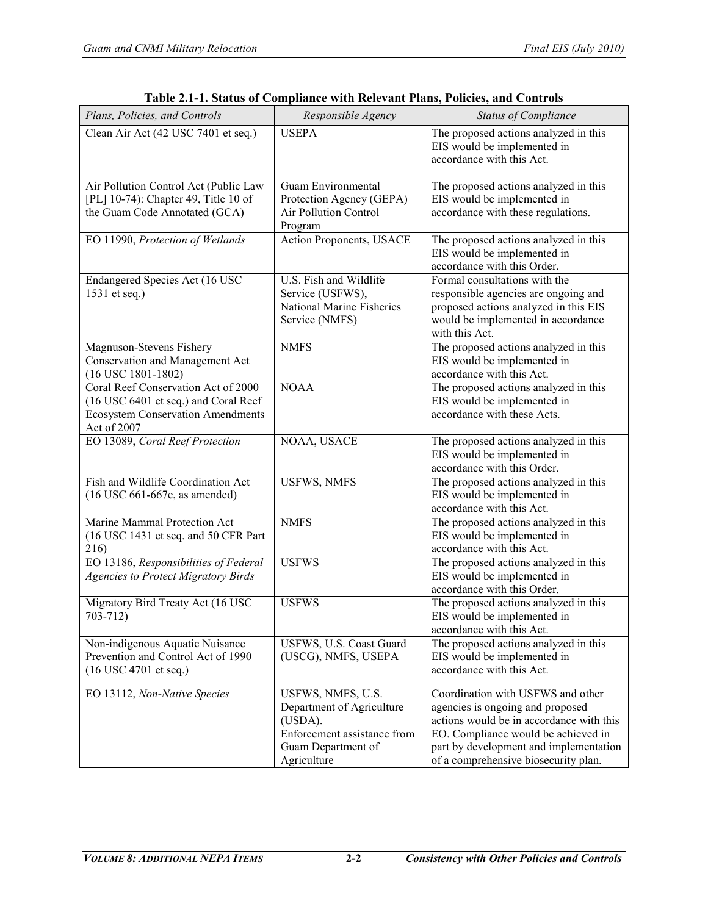| Plans, Policies, and Controls                                                                                                          | Responsible Agency                                                                                                            | <b>Status of Compliance</b>                                                                                                                                                                                                                |
|----------------------------------------------------------------------------------------------------------------------------------------|-------------------------------------------------------------------------------------------------------------------------------|--------------------------------------------------------------------------------------------------------------------------------------------------------------------------------------------------------------------------------------------|
| Clean Air Act (42 USC 7401 et seq.)                                                                                                    | <b>USEPA</b>                                                                                                                  | The proposed actions analyzed in this<br>EIS would be implemented in<br>accordance with this Act.                                                                                                                                          |
| Air Pollution Control Act (Public Law<br>[PL] 10-74): Chapter 49, Title 10 of<br>the Guam Code Annotated (GCA)                         | <b>Guam Environmental</b><br>Protection Agency (GEPA)<br>Air Pollution Control<br>Program                                     | The proposed actions analyzed in this<br>EIS would be implemented in<br>accordance with these regulations.                                                                                                                                 |
| EO 11990, Protection of Wetlands                                                                                                       | <b>Action Proponents, USACE</b>                                                                                               | The proposed actions analyzed in this<br>EIS would be implemented in<br>accordance with this Order.                                                                                                                                        |
| Endangered Species Act (16 USC<br>1531 et seq.)                                                                                        | U.S. Fish and Wildlife<br>Service (USFWS),<br>National Marine Fisheries<br>Service (NMFS)                                     | Formal consultations with the<br>responsible agencies are ongoing and<br>proposed actions analyzed in this EIS<br>would be implemented in accordance<br>with this Act.                                                                     |
| Magnuson-Stevens Fishery<br>Conservation and Management Act<br>$(16$ USC $1801 - 1802)$                                                | <b>NMFS</b>                                                                                                                   | The proposed actions analyzed in this<br>EIS would be implemented in<br>accordance with this Act.                                                                                                                                          |
| Coral Reef Conservation Act of 2000<br>(16 USC 6401 et seq.) and Coral Reef<br><b>Ecosystem Conservation Amendments</b><br>Act of 2007 | <b>NOAA</b>                                                                                                                   | The proposed actions analyzed in this<br>EIS would be implemented in<br>accordance with these Acts.                                                                                                                                        |
| EO 13089, Coral Reef Protection                                                                                                        | NOAA, USACE                                                                                                                   | The proposed actions analyzed in this<br>EIS would be implemented in<br>accordance with this Order.                                                                                                                                        |
| Fish and Wildlife Coordination Act<br>$(16$ USC 661-667e, as amended)                                                                  | <b>USFWS, NMFS</b>                                                                                                            | The proposed actions analyzed in this<br>EIS would be implemented in<br>accordance with this Act.                                                                                                                                          |
| Marine Mammal Protection Act<br>(16 USC 1431 et seq. and 50 CFR Part<br>216)                                                           | <b>NMFS</b>                                                                                                                   | The proposed actions analyzed in this<br>EIS would be implemented in<br>accordance with this Act.                                                                                                                                          |
| EO 13186, Responsibilities of Federal<br><b>Agencies to Protect Migratory Birds</b>                                                    | <b>USFWS</b>                                                                                                                  | The proposed actions analyzed in this<br>EIS would be implemented in<br>accordance with this Order.                                                                                                                                        |
| Migratory Bird Treaty Act (16 USC<br>$703 - 712$                                                                                       | <b>USFWS</b>                                                                                                                  | The proposed actions analyzed in this<br>EIS would be implemented in<br>accordance with this Act.                                                                                                                                          |
| Non-indigenous Aquatic Nuisance<br>Prevention and Control Act of 1990<br>$(16$ USC 4701 et seq.)                                       | USFWS, U.S. Coast Guard<br>(USCG), NMFS, USEPA                                                                                | The proposed actions analyzed in this<br>EIS would be implemented in<br>accordance with this Act.                                                                                                                                          |
| EO 13112, Non-Native Species                                                                                                           | USFWS, NMFS, U.S.<br>Department of Agriculture<br>(USDA).<br>Enforcement assistance from<br>Guam Department of<br>Agriculture | Coordination with USFWS and other<br>agencies is ongoing and proposed<br>actions would be in accordance with this<br>EO. Compliance would be achieved in<br>part by development and implementation<br>of a comprehensive biosecurity plan. |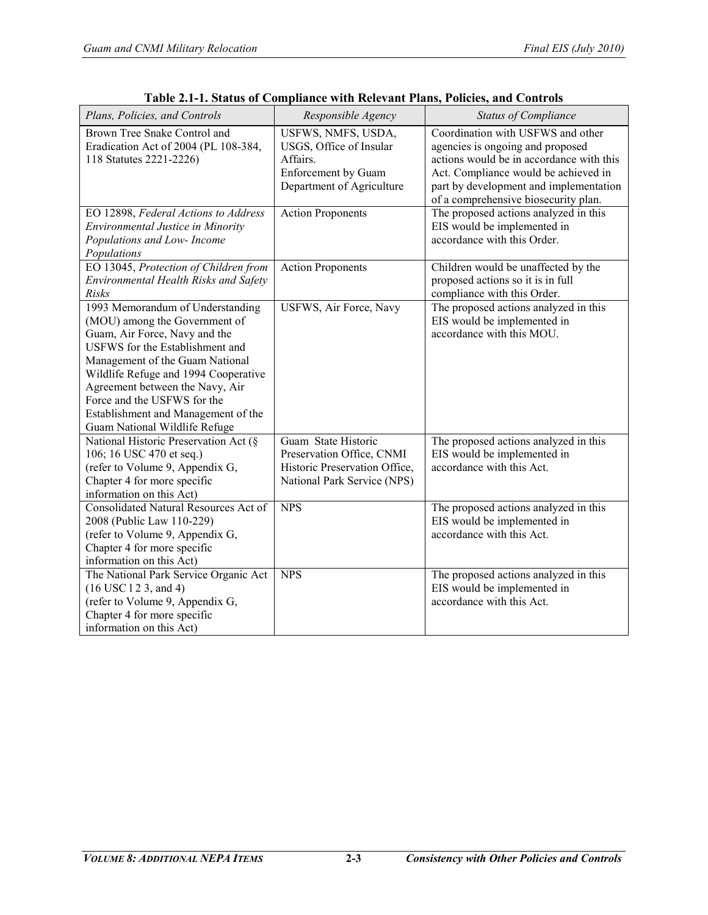| Plans, Policies, and Controls                                                                                                                                                                                                                                                                                                                                     | Responsible Agency                                                                                                   | <b>Status of Compliance</b>                                                                                                                                                                                                                 |
|-------------------------------------------------------------------------------------------------------------------------------------------------------------------------------------------------------------------------------------------------------------------------------------------------------------------------------------------------------------------|----------------------------------------------------------------------------------------------------------------------|---------------------------------------------------------------------------------------------------------------------------------------------------------------------------------------------------------------------------------------------|
| Brown Tree Snake Control and<br>Eradication Act of 2004 (PL 108-384,<br>118 Statutes 2221-2226)                                                                                                                                                                                                                                                                   | USFWS, NMFS, USDA,<br>USGS, Office of Insular<br>Affairs.<br><b>Enforcement</b> by Guam<br>Department of Agriculture | Coordination with USFWS and other<br>agencies is ongoing and proposed<br>actions would be in accordance with this<br>Act. Compliance would be achieved in<br>part by development and implementation<br>of a comprehensive biosecurity plan. |
| EO 12898, Federal Actions to Address<br>Environmental Justice in Minority<br>Populations and Low- Income<br>Populations                                                                                                                                                                                                                                           | <b>Action Proponents</b>                                                                                             | The proposed actions analyzed in this<br>EIS would be implemented in<br>accordance with this Order.                                                                                                                                         |
| EO 13045, Protection of Children from<br>Environmental Health Risks and Safety<br>Risks                                                                                                                                                                                                                                                                           | <b>Action Proponents</b>                                                                                             | Children would be unaffected by the<br>proposed actions so it is in full<br>compliance with this Order.                                                                                                                                     |
| 1993 Memorandum of Understanding<br>(MOU) among the Government of<br>Guam, Air Force, Navy and the<br><b>USFWS</b> for the Establishment and<br>Management of the Guam National<br>Wildlife Refuge and 1994 Cooperative<br>Agreement between the Navy, Air<br>Force and the USFWS for the<br>Establishment and Management of the<br>Guam National Wildlife Refuge | USFWS, Air Force, Navy                                                                                               | The proposed actions analyzed in this<br>EIS would be implemented in<br>accordance with this MOU.                                                                                                                                           |
| National Historic Preservation Act (§<br>106; 16 USC 470 et seq.)<br>(refer to Volume 9, Appendix G,<br>Chapter 4 for more specific<br>information on this Act)                                                                                                                                                                                                   | Guam State Historic<br>Preservation Office, CNMI<br>Historic Preservation Office,<br>National Park Service (NPS)     | The proposed actions analyzed in this<br>EIS would be implemented in<br>accordance with this Act.                                                                                                                                           |
| <b>Consolidated Natural Resources Act of</b><br>2008 (Public Law 110-229)<br>(refer to Volume 9, Appendix G,<br>Chapter 4 for more specific<br>information on this Act)                                                                                                                                                                                           | NPS                                                                                                                  | The proposed actions analyzed in this<br>EIS would be implemented in<br>accordance with this Act.                                                                                                                                           |
| The National Park Service Organic Act<br>$(16$ USC $12$ 3, and 4)<br>(refer to Volume 9, Appendix G,<br>Chapter 4 for more specific<br>information on this Act)                                                                                                                                                                                                   | <b>NPS</b>                                                                                                           | The proposed actions analyzed in this<br>EIS would be implemented in<br>accordance with this Act.                                                                                                                                           |

**Table 2.1-1. Status of Compliance with Relevant Plans, Policies, and Controls**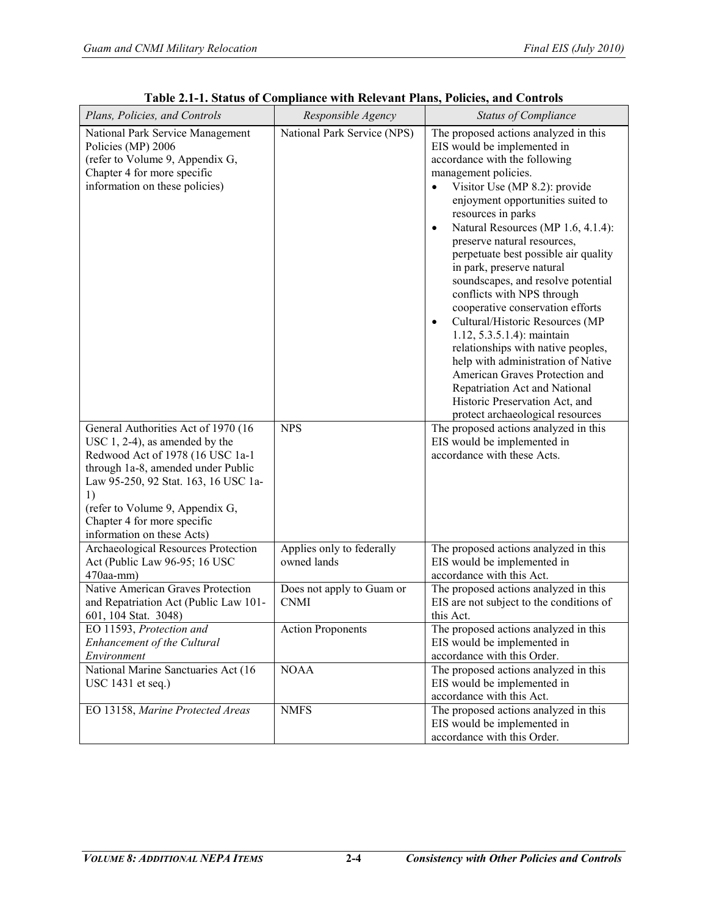| Plans, Policies, and Controls                                                                                                                                                                                                                                                                    | Responsible Agency                       | <b>Status of Compliance</b>                                                                                                                                                                                                                                                                                                                                                                                                                                                                                                                                                                                                                                                                                                                                                                   |
|--------------------------------------------------------------------------------------------------------------------------------------------------------------------------------------------------------------------------------------------------------------------------------------------------|------------------------------------------|-----------------------------------------------------------------------------------------------------------------------------------------------------------------------------------------------------------------------------------------------------------------------------------------------------------------------------------------------------------------------------------------------------------------------------------------------------------------------------------------------------------------------------------------------------------------------------------------------------------------------------------------------------------------------------------------------------------------------------------------------------------------------------------------------|
| National Park Service Management<br>Policies (MP) 2006<br>(refer to Volume 9, Appendix G,<br>Chapter 4 for more specific<br>information on these policies)                                                                                                                                       | National Park Service (NPS)              | The proposed actions analyzed in this<br>EIS would be implemented in<br>accordance with the following<br>management policies.<br>Visitor Use (MP 8.2): provide<br>enjoyment opportunities suited to<br>resources in parks<br>Natural Resources (MP 1.6, 4.1.4):<br>$\bullet$<br>preserve natural resources,<br>perpetuate best possible air quality<br>in park, preserve natural<br>soundscapes, and resolve potential<br>conflicts with NPS through<br>cooperative conservation efforts<br>Cultural/Historic Resources (MP<br>$\bullet$<br>$1.12, 5.3.5.1.4$ : maintain<br>relationships with native peoples,<br>help with administration of Native<br>American Graves Protection and<br>Repatriation Act and National<br>Historic Preservation Act, and<br>protect archaeological resources |
| General Authorities Act of 1970 (16<br>USC $1, 2-4$ ), as amended by the<br>Redwood Act of 1978 (16 USC 1a-1<br>through 1a-8, amended under Public<br>Law 95-250, 92 Stat. 163, 16 USC 1a-<br>1)<br>(refer to Volume 9, Appendix G,<br>Chapter 4 for more specific<br>information on these Acts) | <b>NPS</b>                               | The proposed actions analyzed in this<br>EIS would be implemented in<br>accordance with these Acts.                                                                                                                                                                                                                                                                                                                                                                                                                                                                                                                                                                                                                                                                                           |
| Archaeological Resources Protection<br>Act (Public Law 96-95; 16 USC<br>470aa-mm)                                                                                                                                                                                                                | Applies only to federally<br>owned lands | The proposed actions analyzed in this<br>EIS would be implemented in<br>accordance with this Act.                                                                                                                                                                                                                                                                                                                                                                                                                                                                                                                                                                                                                                                                                             |
| Native American Graves Protection<br>and Repatriation Act (Public Law 101-<br>601, 104 Stat. 3048)                                                                                                                                                                                               | Does not apply to Guam or<br><b>CNMI</b> | The proposed actions analyzed in this<br>EIS are not subject to the conditions of<br>this Act.                                                                                                                                                                                                                                                                                                                                                                                                                                                                                                                                                                                                                                                                                                |
| EO 11593, Protection and<br>Enhancement of the Cultural<br>Environment                                                                                                                                                                                                                           | <b>Action Proponents</b>                 | The proposed actions analyzed in this<br>EIS would be implemented in<br>accordance with this Order.                                                                                                                                                                                                                                                                                                                                                                                                                                                                                                                                                                                                                                                                                           |
| National Marine Sanctuaries Act (16<br>USC 1431 et seq.)                                                                                                                                                                                                                                         | <b>NOAA</b>                              | The proposed actions analyzed in this<br>EIS would be implemented in<br>accordance with this Act.                                                                                                                                                                                                                                                                                                                                                                                                                                                                                                                                                                                                                                                                                             |
| EO 13158, Marine Protected Areas                                                                                                                                                                                                                                                                 | <b>NMFS</b>                              | The proposed actions analyzed in this<br>EIS would be implemented in<br>accordance with this Order.                                                                                                                                                                                                                                                                                                                                                                                                                                                                                                                                                                                                                                                                                           |

**Table 2.1-1. Status of Compliance with Relevant Plans, Policies, and Controls**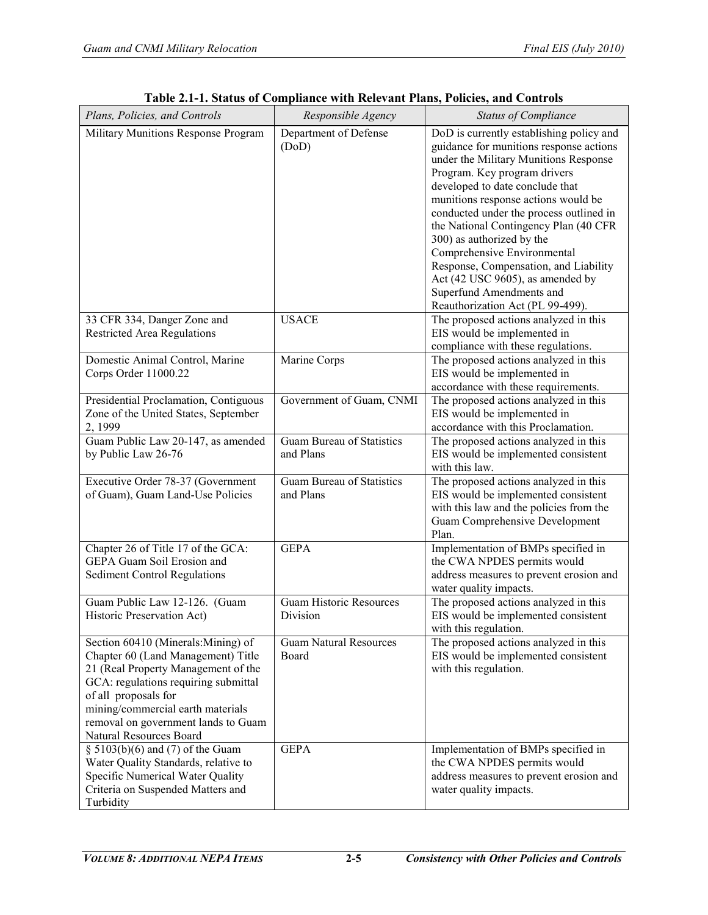| Plans, Policies, and Controls                                                                                                                                                                                                                                                          | Responsible Agency                            | <b>Status of Compliance</b>                                                                                                                                                                                                                                                                                                                                                                                                                                                                                                         |
|----------------------------------------------------------------------------------------------------------------------------------------------------------------------------------------------------------------------------------------------------------------------------------------|-----------------------------------------------|-------------------------------------------------------------------------------------------------------------------------------------------------------------------------------------------------------------------------------------------------------------------------------------------------------------------------------------------------------------------------------------------------------------------------------------------------------------------------------------------------------------------------------------|
| Military Munitions Response Program                                                                                                                                                                                                                                                    | Department of Defense<br>(DoD)                | DoD is currently establishing policy and<br>guidance for munitions response actions<br>under the Military Munitions Response<br>Program. Key program drivers<br>developed to date conclude that<br>munitions response actions would be<br>conducted under the process outlined in<br>the National Contingency Plan (40 CFR<br>300) as authorized by the<br>Comprehensive Environmental<br>Response, Compensation, and Liability<br>Act (42 USC 9605), as amended by<br>Superfund Amendments and<br>Reauthorization Act (PL 99-499). |
| 33 CFR 334, Danger Zone and<br><b>Restricted Area Regulations</b>                                                                                                                                                                                                                      | <b>USACE</b>                                  | The proposed actions analyzed in this<br>EIS would be implemented in<br>compliance with these regulations.                                                                                                                                                                                                                                                                                                                                                                                                                          |
| Domestic Animal Control, Marine<br>Corps Order 11000.22                                                                                                                                                                                                                                | Marine Corps                                  | The proposed actions analyzed in this<br>EIS would be implemented in<br>accordance with these requirements.                                                                                                                                                                                                                                                                                                                                                                                                                         |
| Presidential Proclamation, Contiguous<br>Zone of the United States, September<br>2, 1999                                                                                                                                                                                               | Government of Guam, CNMI                      | The proposed actions analyzed in this<br>EIS would be implemented in<br>accordance with this Proclamation.                                                                                                                                                                                                                                                                                                                                                                                                                          |
| Guam Public Law 20-147, as amended<br>by Public Law 26-76                                                                                                                                                                                                                              | <b>Guam Bureau of Statistics</b><br>and Plans | The proposed actions analyzed in this<br>EIS would be implemented consistent<br>with this law.                                                                                                                                                                                                                                                                                                                                                                                                                                      |
| Executive Order 78-37 (Government<br>of Guam), Guam Land-Use Policies                                                                                                                                                                                                                  | Guam Bureau of Statistics<br>and Plans        | The proposed actions analyzed in this<br>EIS would be implemented consistent<br>with this law and the policies from the<br><b>Guam Comprehensive Development</b><br>Plan.                                                                                                                                                                                                                                                                                                                                                           |
| Chapter 26 of Title 17 of the GCA:<br><b>GEPA Guam Soil Erosion and</b><br><b>Sediment Control Regulations</b>                                                                                                                                                                         | <b>GEPA</b>                                   | Implementation of BMPs specified in<br>the CWA NPDES permits would<br>address measures to prevent erosion and<br>water quality impacts.                                                                                                                                                                                                                                                                                                                                                                                             |
| Guam Public Law 12-126. (Guam<br>Historic Preservation Act)                                                                                                                                                                                                                            | <b>Guam Historic Resources</b><br>Division    | The proposed actions analyzed in this<br>EIS would be implemented consistent<br>with this regulation.                                                                                                                                                                                                                                                                                                                                                                                                                               |
| Section 60410 (Minerals:Mining) of<br>Chapter 60 (Land Management) Title<br>21 (Real Property Management of the<br>GCA: regulations requiring submittal<br>of all proposals for<br>mining/commercial earth materials<br>removal on government lands to Guam<br>Natural Resources Board | <b>Guam Natural Resources</b><br>Board        | The proposed actions analyzed in this<br>EIS would be implemented consistent<br>with this regulation.                                                                                                                                                                                                                                                                                                                                                                                                                               |
| $\S$ 5103(b)(6) and (7) of the Guam<br>Water Quality Standards, relative to<br>Specific Numerical Water Quality<br>Criteria on Suspended Matters and<br>Turbidity                                                                                                                      | <b>GEPA</b>                                   | Implementation of BMPs specified in<br>the CWA NPDES permits would<br>address measures to prevent erosion and<br>water quality impacts.                                                                                                                                                                                                                                                                                                                                                                                             |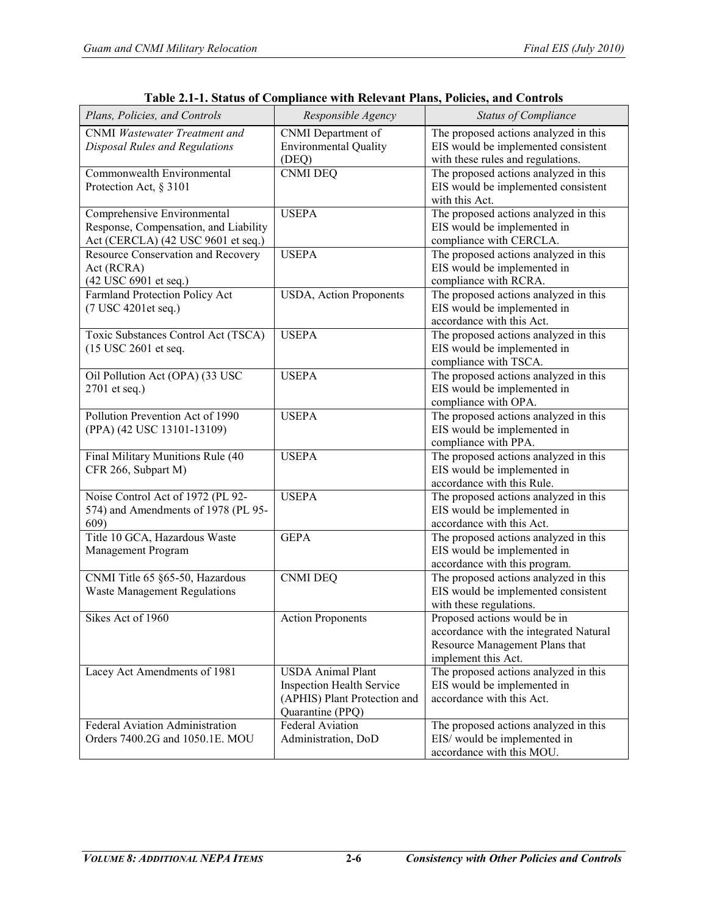| Plans, Policies, and Controls         | Responsible Agency               | <b>Status of Compliance</b>            |
|---------------------------------------|----------------------------------|----------------------------------------|
| <b>CNMI</b> Wastewater Treatment and  | CNMI Department of               | The proposed actions analyzed in this  |
| Disposal Rules and Regulations        | <b>Environmental Quality</b>     | EIS would be implemented consistent    |
|                                       | (DEQ)                            | with these rules and regulations.      |
| Commonwealth Environmental            | <b>CNMI DEQ</b>                  | The proposed actions analyzed in this  |
| Protection Act, § 3101                |                                  | EIS would be implemented consistent    |
|                                       |                                  | with this Act.                         |
| Comprehensive Environmental           | <b>USEPA</b>                     | The proposed actions analyzed in this  |
| Response, Compensation, and Liability |                                  | EIS would be implemented in            |
| Act (CERCLA) (42 USC 9601 et seq.)    |                                  | compliance with CERCLA.                |
| Resource Conservation and Recovery    | <b>USEPA</b>                     | The proposed actions analyzed in this  |
| Act (RCRA)                            |                                  | EIS would be implemented in            |
| (42 USC 6901 et seq.)                 |                                  | compliance with RCRA.                  |
| Farmland Protection Policy Act        | USDA, Action Proponents          | The proposed actions analyzed in this  |
| (7 USC 4201et seq.)                   |                                  | EIS would be implemented in            |
|                                       |                                  | accordance with this Act.              |
| Toxic Substances Control Act (TSCA)   | <b>USEPA</b>                     | The proposed actions analyzed in this  |
|                                       |                                  |                                        |
| (15 USC 2601 et seq.                  |                                  | EIS would be implemented in            |
|                                       |                                  | compliance with TSCA.                  |
| Oil Pollution Act (OPA) (33 USC       | <b>USEPA</b>                     | The proposed actions analyzed in this  |
| 2701 et seq.)                         |                                  | EIS would be implemented in            |
|                                       |                                  | compliance with OPA.                   |
| Pollution Prevention Act of 1990      | <b>USEPA</b>                     | The proposed actions analyzed in this  |
| (PPA) (42 USC 13101-13109)            |                                  | EIS would be implemented in            |
|                                       |                                  | compliance with PPA.                   |
| Final Military Munitions Rule (40     | <b>USEPA</b>                     | The proposed actions analyzed in this  |
| CFR 266, Subpart M)                   |                                  | EIS would be implemented in            |
|                                       |                                  | accordance with this Rule.             |
| Noise Control Act of 1972 (PL 92-     | <b>USEPA</b>                     | The proposed actions analyzed in this  |
| 574) and Amendments of 1978 (PL 95-   |                                  | EIS would be implemented in            |
| 609)                                  |                                  | accordance with this Act.              |
| Title 10 GCA, Hazardous Waste         | <b>GEPA</b>                      | The proposed actions analyzed in this  |
| Management Program                    |                                  | EIS would be implemented in            |
|                                       |                                  | accordance with this program.          |
| CNMI Title 65 §65-50, Hazardous       | <b>CNMI DEQ</b>                  | The proposed actions analyzed in this  |
| <b>Waste Management Regulations</b>   |                                  | EIS would be implemented consistent    |
|                                       |                                  | with these regulations.                |
| Sikes Act of 1960                     | <b>Action Proponents</b>         | Proposed actions would be in           |
|                                       |                                  | accordance with the integrated Natural |
|                                       |                                  | Resource Management Plans that         |
|                                       |                                  | implement this Act.                    |
| Lacey Act Amendments of 1981          | <b>USDA Animal Plant</b>         | The proposed actions analyzed in this  |
|                                       | <b>Inspection Health Service</b> | EIS would be implemented in            |
|                                       | (APHIS) Plant Protection and     | accordance with this Act.              |
|                                       | Quarantine (PPQ)                 |                                        |
| Federal Aviation Administration       | <b>Federal Aviation</b>          | The proposed actions analyzed in this  |
| Orders 7400.2G and 1050.1E. MOU       | Administration, DoD              | EIS/ would be implemented in           |
|                                       |                                  | accordance with this MOU.              |
|                                       |                                  |                                        |

**Table 2.1-1. Status of Compliance with Relevant Plans, Policies, and Controls**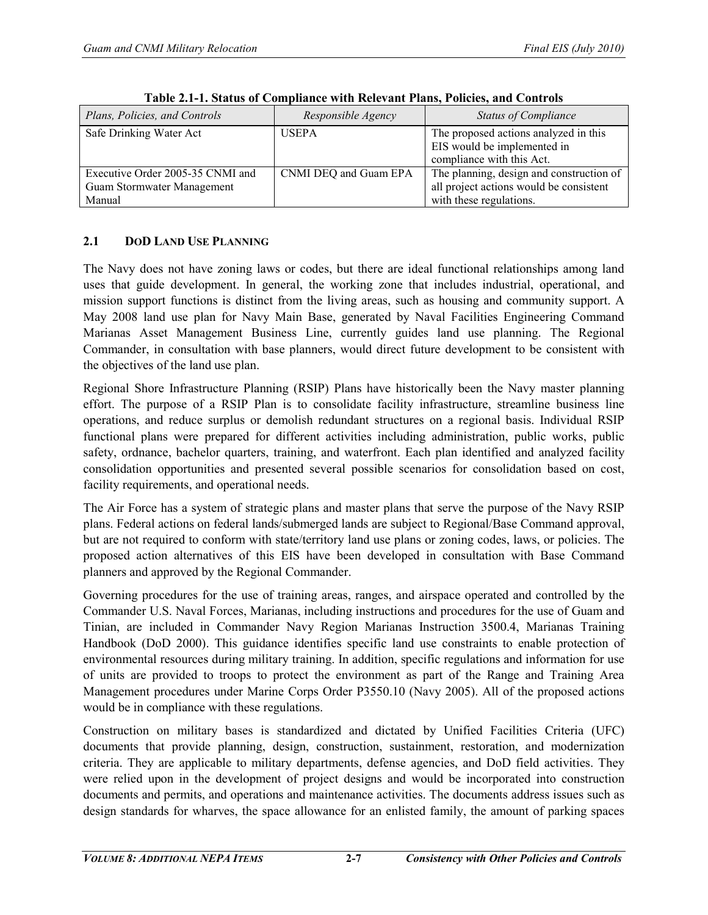| Plans, Policies, and Controls                                            | Responsible Agency    | <b>Status of Compliance</b>                                                                                    |
|--------------------------------------------------------------------------|-----------------------|----------------------------------------------------------------------------------------------------------------|
| Safe Drinking Water Act                                                  | <b>USEPA</b>          | The proposed actions analyzed in this<br>EIS would be implemented in<br>compliance with this Act.              |
| Executive Order 2005-35 CNMI and<br>Guam Stormwater Management<br>Manual | CNMI DEQ and Guam EPA | The planning, design and construction of<br>all project actions would be consistent<br>with these regulations. |

**Table 2.1-1. Status of Compliance with Relevant Plans, Policies, and Controls**

## **2.1 DOD LAND USE PLANNING**

The Navy does not have zoning laws or codes, but there are ideal functional relationships among land uses that guide development. In general, the working zone that includes industrial, operational, and mission support functions is distinct from the living areas, such as housing and community support. A May 2008 land use plan for Navy Main Base, generated by Naval Facilities Engineering Command Marianas Asset Management Business Line, currently guides land use planning. The Regional Commander, in consultation with base planners, would direct future development to be consistent with the objectives of the land use plan.

Regional Shore Infrastructure Planning (RSIP) Plans have historically been the Navy master planning effort. The purpose of a RSIP Plan is to consolidate facility infrastructure, streamline business line operations, and reduce surplus or demolish redundant structures on a regional basis. Individual RSIP functional plans were prepared for different activities including administration, public works, public safety, ordnance, bachelor quarters, training, and waterfront. Each plan identified and analyzed facility consolidation opportunities and presented several possible scenarios for consolidation based on cost, facility requirements, and operational needs.

The Air Force has a system of strategic plans and master plans that serve the purpose of the Navy RSIP plans. Federal actions on federal lands/submerged lands are subject to Regional/Base Command approval, but are not required to conform with state/territory land use plans or zoning codes, laws, or policies. The proposed action alternatives of this EIS have been developed in consultation with Base Command planners and approved by the Regional Commander.

Governing procedures for the use of training areas, ranges, and airspace operated and controlled by the Commander U.S. Naval Forces, Marianas, including instructions and procedures for the use of Guam and Tinian, are included in Commander Navy Region Marianas Instruction 3500.4, Marianas Training Handbook (DoD 2000). This guidance identifies specific land use constraints to enable protection of environmental resources during military training. In addition, specific regulations and information for use of units are provided to troops to protect the environment as part of the Range and Training Area Management procedures under Marine Corps Order P3550.10 (Navy 2005). All of the proposed actions would be in compliance with these regulations.

Construction on military bases is standardized and dictated by Unified Facilities Criteria (UFC) documents that provide planning, design, construction, sustainment, restoration, and modernization criteria. They are applicable to military departments, defense agencies, and DoD field activities. They were relied upon in the development of project designs and would be incorporated into construction documents and permits, and operations and maintenance activities. The documents address issues such as design standards for wharves, the space allowance for an enlisted family, the amount of parking spaces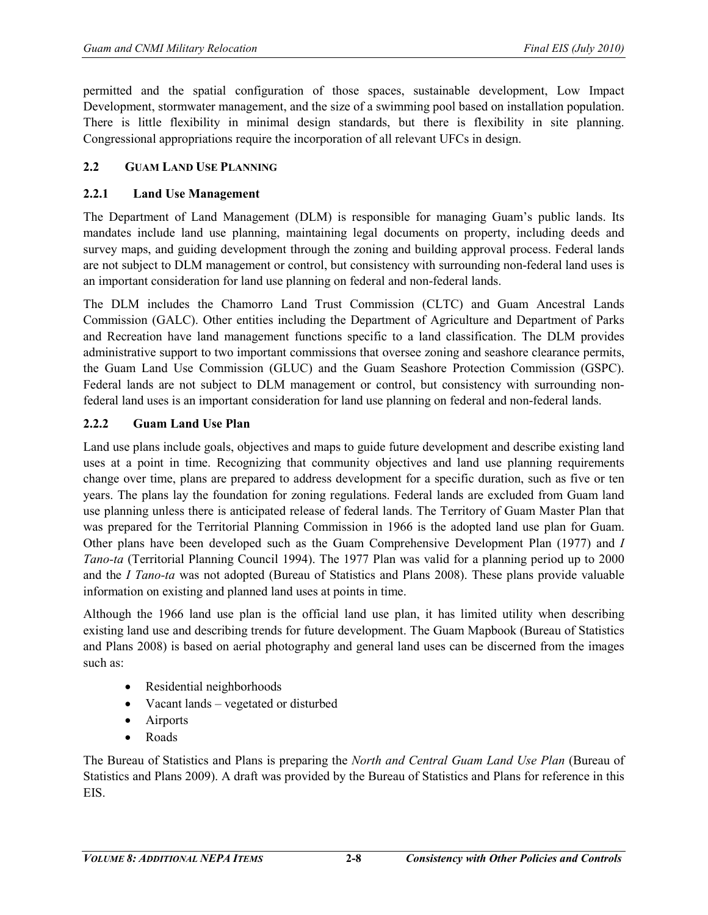permitted and the spatial configuration of those spaces, sustainable development, Low Impact Development, stormwater management, and the size of a swimming pool based on installation population. There is little flexibility in minimal design standards, but there is flexibility in site planning. Congressional appropriations require the incorporation of all relevant UFCs in design.

### **2.2 GUAM LAND USE PLANNING**

### **2.2.1 Land Use Management**

The Department of Land Management (DLM) is responsible for managing Guam's public lands. Its mandates include land use planning, maintaining legal documents on property, including deeds and survey maps, and guiding development through the zoning and building approval process. Federal lands are not subject to DLM management or control, but consistency with surrounding non-federal land uses is an important consideration for land use planning on federal and non-federal lands.

The DLM includes the Chamorro Land Trust Commission (CLTC) and Guam Ancestral Lands Commission (GALC). Other entities including the Department of Agriculture and Department of Parks and Recreation have land management functions specific to a land classification. The DLM provides administrative support to two important commissions that oversee zoning and seashore clearance permits, the Guam Land Use Commission (GLUC) and the Guam Seashore Protection Commission (GSPC). Federal lands are not subject to DLM management or control, but consistency with surrounding nonfederal land uses is an important consideration for land use planning on federal and non-federal lands.

### **2.2.2 Guam Land Use Plan**

Land use plans include goals, objectives and maps to guide future development and describe existing land uses at a point in time. Recognizing that community objectives and land use planning requirements change over time, plans are prepared to address development for a specific duration, such as five or ten years. The plans lay the foundation for zoning regulations. Federal lands are excluded from Guam land use planning unless there is anticipated release of federal lands. The Territory of Guam Master Plan that was prepared for the Territorial Planning Commission in 1966 is the adopted land use plan for Guam. Other plans have been developed such as the Guam Comprehensive Development Plan (1977) and *I Tano-ta* (Territorial Planning Council 1994). The 1977 Plan was valid for a planning period up to 2000 and the *I Tano-ta* was not adopted (Bureau of Statistics and Plans 2008). These plans provide valuable information on existing and planned land uses at points in time.

Although the 1966 land use plan is the official land use plan, it has limited utility when describing existing land use and describing trends for future development. The Guam Mapbook (Bureau of Statistics and Plans 2008) is based on aerial photography and general land uses can be discerned from the images such as:

- Residential neighborhoods
- Vacant lands vegetated or disturbed
- Airports
- Roads

The Bureau of Statistics and Plans is preparing the *North and Central Guam Land Use Plan* (Bureau of Statistics and Plans 2009). A draft was provided by the Bureau of Statistics and Plans for reference in this EIS.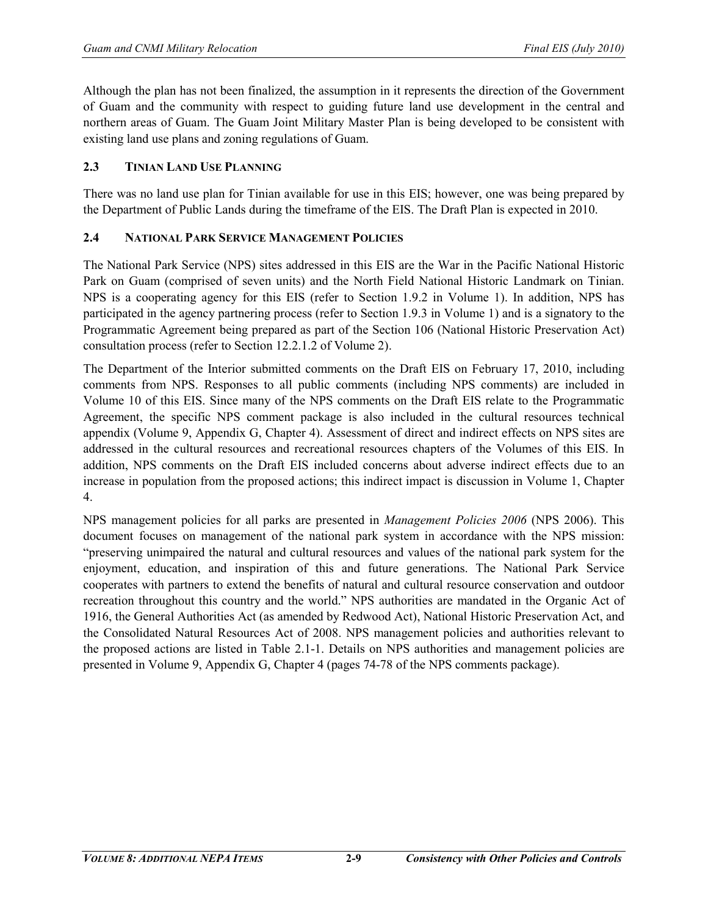Although the plan has not been finalized, the assumption in it represents the direction of the Government of Guam and the community with respect to guiding future land use development in the central and northern areas of Guam. The Guam Joint Military Master Plan is being developed to be consistent with existing land use plans and zoning regulations of Guam.

#### **2.3 TINIAN LAND USE PLANNING**

There was no land use plan for Tinian available for use in this EIS; however, one was being prepared by the Department of Public Lands during the timeframe of the EIS. The Draft Plan is expected in 2010.

#### **2.4 NATIONAL PARK SERVICE MANAGEMENT POLICIES**

The National Park Service (NPS) sites addressed in this EIS are the War in the Pacific National Historic Park on Guam (comprised of seven units) and the North Field National Historic Landmark on Tinian. NPS is a cooperating agency for this EIS (refer to Section 1.9.2 in Volume 1). In addition, NPS has participated in the agency partnering process (refer to Section 1.9.3 in Volume 1) and is a signatory to the Programmatic Agreement being prepared as part of the Section 106 (National Historic Preservation Act) consultation process (refer to Section 12.2.1.2 of Volume 2).

The Department of the Interior submitted comments on the Draft EIS on February 17, 2010, including comments from NPS. Responses to all public comments (including NPS comments) are included in Volume 10 of this EIS. Since many of the NPS comments on the Draft EIS relate to the Programmatic Agreement, the specific NPS comment package is also included in the cultural resources technical appendix (Volume 9, Appendix G, Chapter 4). Assessment of direct and indirect effects on NPS sites are addressed in the cultural resources and recreational resources chapters of the Volumes of this EIS. In addition, NPS comments on the Draft EIS included concerns about adverse indirect effects due to an increase in population from the proposed actions; this indirect impact is discussion in Volume 1, Chapter 4.

NPS management policies for all parks are presented in *Management Policies 2006* (NPS 2006). This document focuses on management of the national park system in accordance with the NPS mission: "preserving unimpaired the natural and cultural resources and values of the national park system for the enjoyment, education, and inspiration of this and future generations. The National Park Service cooperates with partners to extend the benefits of natural and cultural resource conservation and outdoor recreation throughout this country and the world." NPS authorities are mandated in the Organic Act of 1916, the General Authorities Act (as amended by Redwood Act), National Historic Preservation Act, and the Consolidated Natural Resources Act of 2008. NPS management policies and authorities relevant to the proposed actions are listed in Table 2.1-1. Details on NPS authorities and management policies are presented in Volume 9, Appendix G, Chapter 4 (pages 74-78 of the NPS comments package).